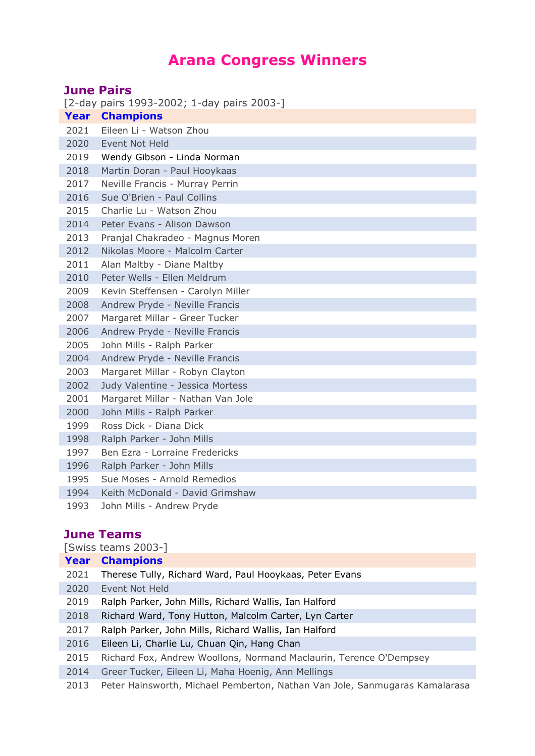## **Arana Congress Winners**

| <b>June Pairs</b> |                                            |  |
|-------------------|--------------------------------------------|--|
|                   | [2-day pairs 1993-2002; 1-day pairs 2003-] |  |
|                   | <b>Year Champions</b>                      |  |
| 2021              | Eileen Li - Watson Zhou                    |  |
| 2020              | Event Not Held                             |  |
| 2019              | Wendy Gibson - Linda Norman                |  |
| 2018              | Martin Doran - Paul Hooykaas               |  |
| 2017              | Neville Francis - Murray Perrin            |  |
| 2016              | Sue O'Brien - Paul Collins                 |  |
| 2015              | Charlie Lu - Watson Zhou                   |  |
| 2014              | Peter Evans - Alison Dawson                |  |
| 2013              | Pranjal Chakradeo - Magnus Moren           |  |
| 2012              | Nikolas Moore - Malcolm Carter             |  |
| 2011              | Alan Maltby - Diane Maltby                 |  |
| 2010              | Peter Wells - Ellen Meldrum                |  |
| 2009              | Kevin Steffensen - Carolyn Miller          |  |
| 2008              | Andrew Pryde - Neville Francis             |  |
| 2007              | Margaret Millar - Greer Tucker             |  |
| 2006              | Andrew Pryde - Neville Francis             |  |
| 2005              | John Mills - Ralph Parker                  |  |
| 2004              | Andrew Pryde - Neville Francis             |  |
| 2003              | Margaret Millar - Robyn Clayton            |  |
| 2002              | Judy Valentine - Jessica Mortess           |  |
| 2001              | Margaret Millar - Nathan Van Jole          |  |
| 2000              | John Mills - Ralph Parker                  |  |
| 1999              | Ross Dick - Diana Dick                     |  |
| 1998              | Ralph Parker - John Mills                  |  |
| 1997              | Ben Ezra - Lorraine Fredericks             |  |
| 1996              | Ralph Parker - John Mills                  |  |
| 1995              | Sue Moses - Arnold Remedios                |  |
| 1994              | Keith McDonald - David Grimshaw            |  |
| 1993              | John Mills - Andrew Pryde                  |  |

## **June Teams**

| [Swiss teams 2003-] |                                                                             |  |  |
|---------------------|-----------------------------------------------------------------------------|--|--|
|                     | <b>Year Champions</b>                                                       |  |  |
| 2021                | Therese Tully, Richard Ward, Paul Hooykaas, Peter Evans                     |  |  |
| 2020                | Event Not Held                                                              |  |  |
| 2019                | Ralph Parker, John Mills, Richard Wallis, Ian Halford                       |  |  |
| 2018                | Richard Ward, Tony Hutton, Malcolm Carter, Lyn Carter                       |  |  |
| 2017                | Ralph Parker, John Mills, Richard Wallis, Ian Halford                       |  |  |
| 2016                | Eileen Li, Charlie Lu, Chuan Qin, Hang Chan                                 |  |  |
| 2015                | Richard Fox, Andrew Woollons, Normand Maclaurin, Terence O'Dempsey          |  |  |
| 2014                | Greer Tucker, Eileen Li, Maha Hoenig, Ann Mellings                          |  |  |
| 2013                | Peter Hainsworth, Michael Pemberton, Nathan Van Jole, Sanmugaras Kamalarasa |  |  |